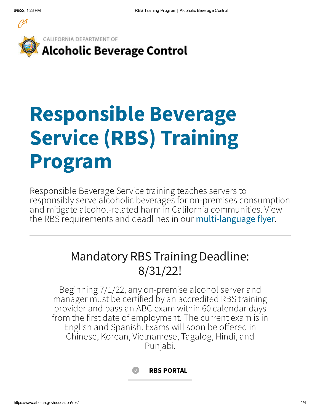

CALIFORNIA DEPARTMENT OF **Alcoholic Beverage Control** 

# **Responsible Beverage Service (RBS) Training Program**

Responsible Beverage Service training teaches servers to responsibly serve alcoholic beverages for on-premises consumption and mitigate alcohol-related harm in California communities. View the RBS requirements and deadlines in our [multi-language](https://www.abc.ca.gov/education/rbs/flyer/) flyer.

### Mandatory RBS Training Deadline: 8/31/22!

Beginning 7/1/22, any on-premise alcohol server and manager must be certified by an accredited RBS training provider and pass an ABC exam within 60 calendar days from the first date of employment. The current exam is in English and Spanish. Exams will soon be offered in Chinese, Korean, Vietnamese, Tagalog, Hindi, and Punjabi.

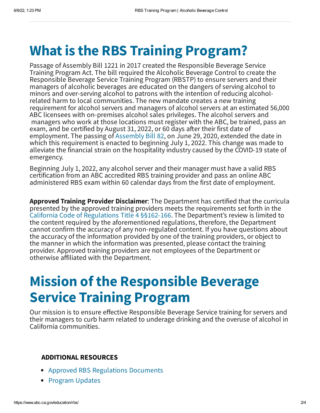# **What is the RBS Training Program?**

Passage of Assembly Bill 1221 in 2017 created the Responsible Beverage Service Training Program Act. The bill required the Alcoholic Beverage Control to create the Responsible Beverage Service Training Program (RBSTP) to ensure servers and their managers of alcoholic beverages are educated on the dangers of serving alcohol to minors and over-serving alcohol to patrons with the intention of reducing alcoholrelated harm to local communities. The new mandate creates a new training requirement for alcohol servers and managers of alcohol servers at an estimated 56,000 ABC licensees with on-premises alcohol sales privileges. The alcohol servers and managers who work at those locations must register with the ABC, be trained, pass an exam, and be certified by August 31, 2022, or 60 days after their first date of employment. The passing of [Assembly](https://leginfo.legislature.ca.gov/faces/billNavClient.xhtml?bill_id=201920200AB82) Bill 82, on June 29, 2020, extended the date in which this requirement is enacted to beginning July 1, 2022. This change was made to alleviate the financial strain on the hospitality industry caused by the COVID-19 state of emergency.

Beginning July 1, 2022, any alcohol server and their manager must have a valid RBS certification from an ABC accredited RBS training provider and pass an online ABC administered RBS exam within 60 calendar days from the first date of employment.

**Approved Training Provider Disclaimer**: The Department has certified that the curricula presented by the approved training providers meets the requirements set forth in the California Code of [Regulations](https://www.abc.ca.gov/wp-content/uploads/2020/06/RBS-Text-of-Approved-Regulations.pdf) Title 4 §§162-166. The Department's review is limited to the content required by the aforementioned regulations, therefore, the Department cannot confirm the accuracy of any non-regulated content. If you have questions about the accuracy of the information provided by one of the training providers, or object to the manner in which the information was presented, please contact the training provider. Approved training providers are not employees of the Department or otherwise affiliated with the Department.

# **Mission of the Responsible Beverage Service Training Program**

Our mission is to ensure effective Responsible Beverage Service training for servers and their managers to curb harm related to underage drinking and the overuse of alcohol in California communities.

#### **ADDITIONAL RESOURCES**

- Approved RBS [Regulations](https://www.abc.ca.gov/law-and-policy/regulations-rulemaking/approved-regulations/#rbs) Documents
- [Program](https://www.abc.ca.gov/education/rbs/program-updates/) Updates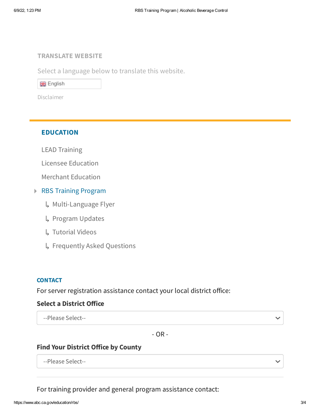#### **TRANSLATE WEBSITE**

Select a language below to translate this website.

**ER** English

[Disclaimer](https://www.abc.ca.gov/accessibility//#GT)

#### **EDUCATION**

LEAD [Training](https://www.abc.ca.gov/education/lead-training/)

Licensee [Education](https://www.abc.ca.gov/education/licensee-education/)

Merchant [Education](https://www.abc.ca.gov/education/merchant-education/)

#### RBS Training Program

- [Multi-Language](https://www.abc.ca.gov/wp-content/uploads/2022/06/Multi-Language-Flyer.pdf) Flyer ↳
- [Program](https://www.abc.ca.gov/education/rbs/program-updates/) Updates ↳
- [Tutorial](https://www.youtube.com/playlist?list=PLkQmb-gnart1eFeVah484vpIrO721NoYK) Videos ↳
- [Frequently](https://www.abc.ca.gov/education/rbs/frequently-asked-questions/) Asked Questions ↳

#### **CONTACT**

For server registration assistance contact your local district office:

#### **Select a District Office**

--Please Select--

- OR -

#### **Find Your District Office by County**

--Please Select--

For training provider and general program assistance contact: